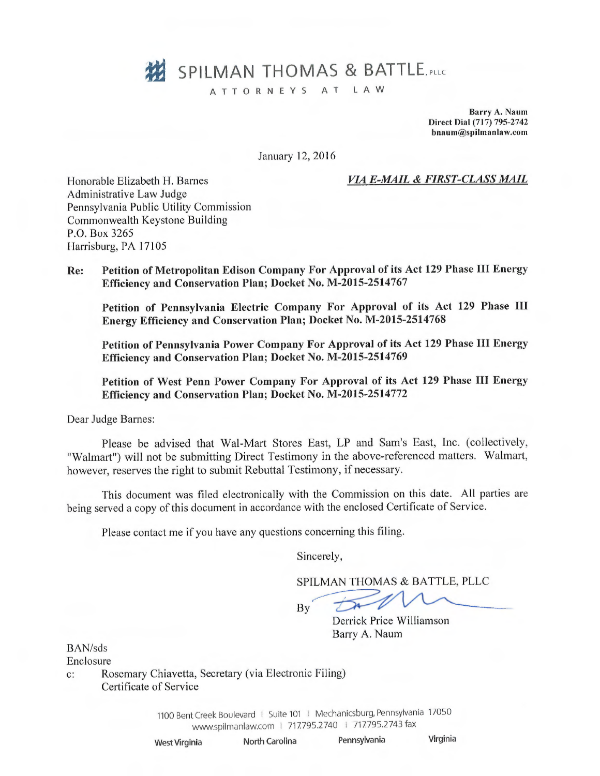# **322 SPILMAN THOMAS & BATTLE** PLLC

ATTORNEYS AT LAW

Barry A. Naum Direct Dial (717) 795-2742 bnaum@spilmanlaw.com

January 12, 2016

#### VL4 E-MAIL & FIRST-CLASS MAIL

Honorable Elizabeth H. Barnes Administrative Law Judge Pennsylvania Public Utility Commission Commonwealth Keystone Building P.O. Box 3265 Harrisburg, PA 17105

Re: Petition of Metropolitan Edison Company For Approval of its Act 129 Phase III Energy Efficiency and Conservation Plan; Docket No. M-2015-2514767

Petition of Pennsylvania Electric Company For Approval of its Act 129 Phase III Energy Efficiency and Conservation Plan; Docket No. M-2015-2514768

Petition of Pennsylvania Power Company For Approval of its Act 129 Phase III Energy Efficiency and Conservation Plan; Docket No. M-2015-2514769

Petition of West Penn Power Company For Approval of its Act 129 Phase III Energy Efficiency and Conservation Plan; Docket No. M-2015-2514772

Dear Judge Barnes:

Please be advised that Wal-Mart Stores East, LP and Sam's East, Inc. (collectively, "Walmart") will not be submitting Direct Testimony in the above-referenced matters. Walmart, however, reserves the right to submit Rebuttal Testimony, if necessary.

This document was filed electronically with the Commission on this date. All parties are being served a copy of this document in accordance with the enclosed Certificate of Service.

Please contact me if you have any questions concerning this filing.

Sincerely,

SPILMAN THOMAS & BATTLE, PLLC

By

Derrick Price Williamson Barry A. Naum

BAN/sds

Enclosure

c: Rosemary Chiavetta, Secretary (via Electronic Filing) Certificate of Service

> 1100 Bent Creek Boulevard | Suite 101 | Mechanicsburg, Pennsylvania 17050 www.spilmanlaw.com | 717.795.2740 | 717.795.2743 fax

West Virginia North Carolina Pennsylvania Virginia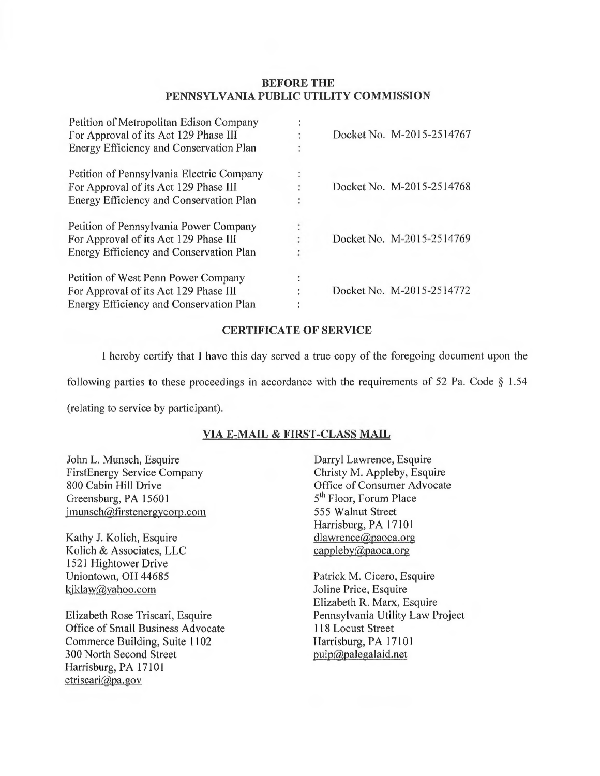## BEFORE THE PENNSYLVANIA PUBLIC UTILITY COMMISSION

| Petition of Metropolitan Edison Company   |   | Docket No. M-2015-2514767 |
|-------------------------------------------|---|---------------------------|
| For Approval of its Act 129 Phase III     |   |                           |
| Energy Efficiency and Conservation Plan   |   |                           |
| Petition of Pennsylvania Electric Company | ÷ |                           |
| For Approval of its Act 129 Phase III     |   | Docket No. M-2015-2514768 |
| Energy Efficiency and Conservation Plan   | ٠ |                           |
| Petition of Pennsylvania Power Company    |   |                           |
| For Approval of its Act 129 Phase III     |   | Docket No. M-2015-2514769 |
| Energy Efficiency and Conservation Plan   |   |                           |
| Petition of West Penn Power Company       | ٠ |                           |
| For Approval of its Act 129 Phase III     |   | Docket No. M-2015-2514772 |
| Energy Efficiency and Conservation Plan   |   |                           |

#### CERTIFICATE OF SERVICE

I hereby certify that I have this day served a true copy of the foregoing document upon the

following parties to these proceedings in accordance with the requirements of 52 Pa. Code § 1.54

(relating to service by participant).

## VIA E-MAIL & FIRST-CLASS MAIL

John L. Munsch, Esquire FirstEnergy Service Company 800 Cabin Hill Drive Greensburg, PA 15601 jmunsch@firstenergycorp.com

Kathy J. Kolich, Esquire Kolich & Associates, LLC 1521 Hightower Drive Uniontown, OH 44685 kjklaw@yahoo.com

Elizabeth Rose Triscari, Esquire Office of Small Business Advocate Commerce Building, Suite 1102 300 North Second Street Harrisburg, PA 17101  $etriscari@pa.gov$ 

Darryl Lawrence, Esquire Christy M. Appleby, Esquire Office of Consumer Advocate 5<sup>th</sup> Floor, Forum Place 555 Walnut Street Harrisburg, PA 17101 dlawrence@paoca.org cappleby@paoca.org

Patrick M. Cicero, Esquire Joline Price, Esquire Elizabeth R. Marx, Esquire Pennsylvania Utility Law Project 118 Locust Street Harrisburg, PA 17101 pulp@palegalaid.net